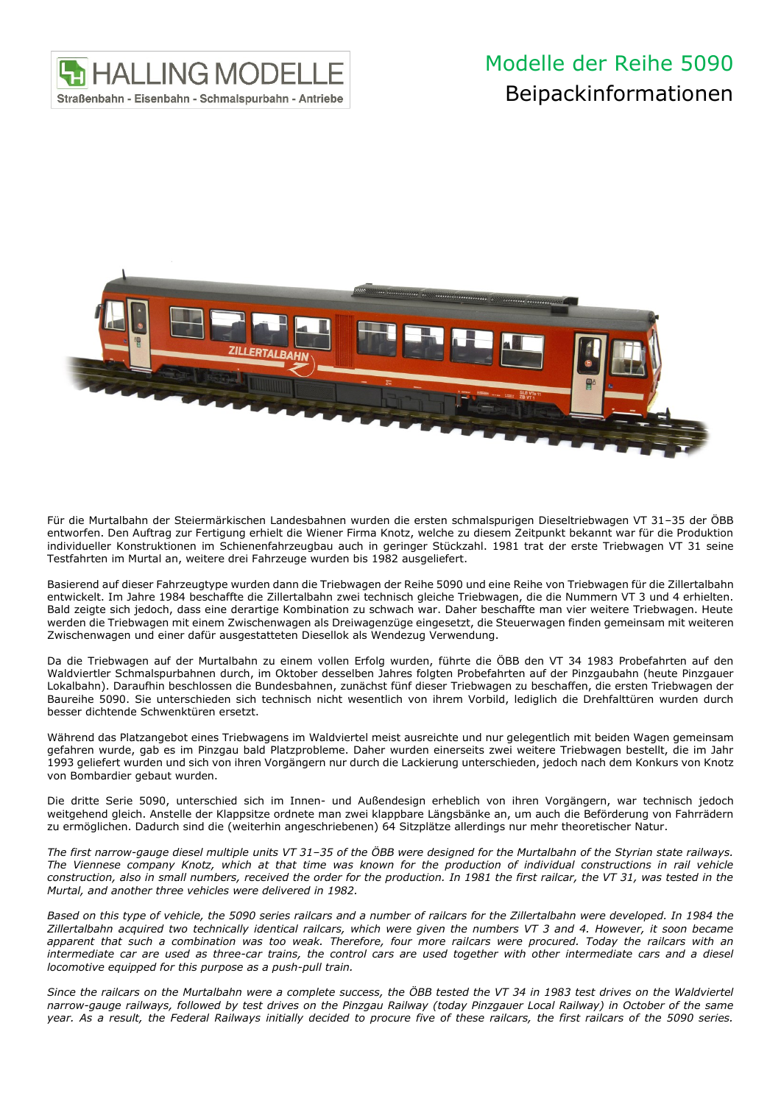

## Modelle der Reihe 5090 Beipackinformationen



Für die Murtalbahn der Steiermärkischen Landesbahnen wurden die ersten schmalspurigen Dieseltriebwagen VT 31–35 der ÖBB entworfen. Den Auftrag zur Fertigung erhielt die Wiener Firma Knotz, welche zu diesem Zeitpunkt bekannt war für die Produktion individueller Konstruktionen im Schienenfahrzeugbau auch in geringer Stückzahl. 1981 trat der erste Triebwagen VT 31 seine Testfahrten im Murtal an, weitere drei Fahrzeuge wurden bis 1982 ausgeliefert.

Basierend auf dieser Fahrzeugtype wurden dann die Triebwagen der Reihe 5090 und eine Reihe von Triebwagen für die Zillertalbahn entwickelt. Im Jahre 1984 beschaffte die Zillertalbahn zwei technisch gleiche Triebwagen, die die Nummern VT 3 und 4 erhielten. Bald zeigte sich jedoch, dass eine derartige Kombination zu schwach war. Daher beschaffte man vier weitere Triebwagen. Heute werden die Triebwagen mit einem Zwischenwagen als Dreiwagenzüge eingesetzt, die Steuerwagen finden gemeinsam mit weiteren Zwischenwagen und einer dafür ausgestatteten Diesellok als Wendezug Verwendung.

Da die Triebwagen auf der Murtalbahn zu einem vollen Erfolg wurden, führte die ÖBB den VT 34 1983 Probefahrten auf den Waldviertler Schmalspurbahnen durch, im Oktober desselben Jahres folgten Probefahrten auf der Pinzgaubahn (heute Pinzgauer Lokalbahn). Daraufhin beschlossen die Bundesbahnen, zunächst fünf dieser Triebwagen zu beschaffen, die ersten Triebwagen der Baureihe 5090. Sie unterschieden sich technisch nicht wesentlich von ihrem Vorbild, lediglich die Drehfalttüren wurden durch besser dichtende Schwenktüren ersetzt.

Während das Platzangebot eines Triebwagens im Waldviertel meist ausreichte und nur gelegentlich mit beiden Wagen gemeinsam gefahren wurde, gab es im Pinzgau bald Platzprobleme. Daher wurden einerseits zwei weitere Triebwagen bestellt, die im Jahr 1993 geliefert wurden und sich von ihren Vorgängern nur durch die Lackierung unterschieden, jedoch nach dem Konkurs von Knotz von Bombardier gebaut wurden.

Die dritte Serie 5090, unterschied sich im Innen- und Außendesign erheblich von ihren Vorgängern, war technisch jedoch weitgehend gleich. Anstelle der Klappsitze ordnete man zwei klappbare Längsbänke an, um auch die Beförderung von Fahrrädern zu ermöglichen. Dadurch sind die (weiterhin angeschriebenen) 64 Sitzplätze allerdings nur mehr theoretischer Natur.

*The first narrow-gauge diesel multiple units VT 31–35 of the ÖBB were designed for the Murtalbahn of the Styrian state railways. The Viennese company Knotz, which at that time was known for the production of individual constructions in rail vehicle construction, also in small numbers, received the order for the production. In 1981 the first railcar, the VT 31, was tested in the Murtal, and another three vehicles were delivered in 1982.*

*Based on this type of vehicle, the 5090 series railcars and a number of railcars for the Zillertalbahn were developed. In 1984 the Zillertalbahn acquired two technically identical railcars, which were given the numbers VT 3 and 4. However, it soon became apparent that such a combination was too weak. Therefore, four more railcars were procured. Today the railcars with an intermediate car are used as three-car trains, the control cars are used together with other intermediate cars and a diesel locomotive equipped for this purpose as a push-pull train.*

*Since the railcars on the Murtalbahn were a complete success, the ÖBB tested the VT 34 in 1983 test drives on the Waldviertel narrow-gauge railways, followed by test drives on the Pinzgau Railway (today Pinzgauer Local Railway) in October of the same year. As a result, the Federal Railways initially decided to procure five of these railcars, the first railcars of the 5090 series.*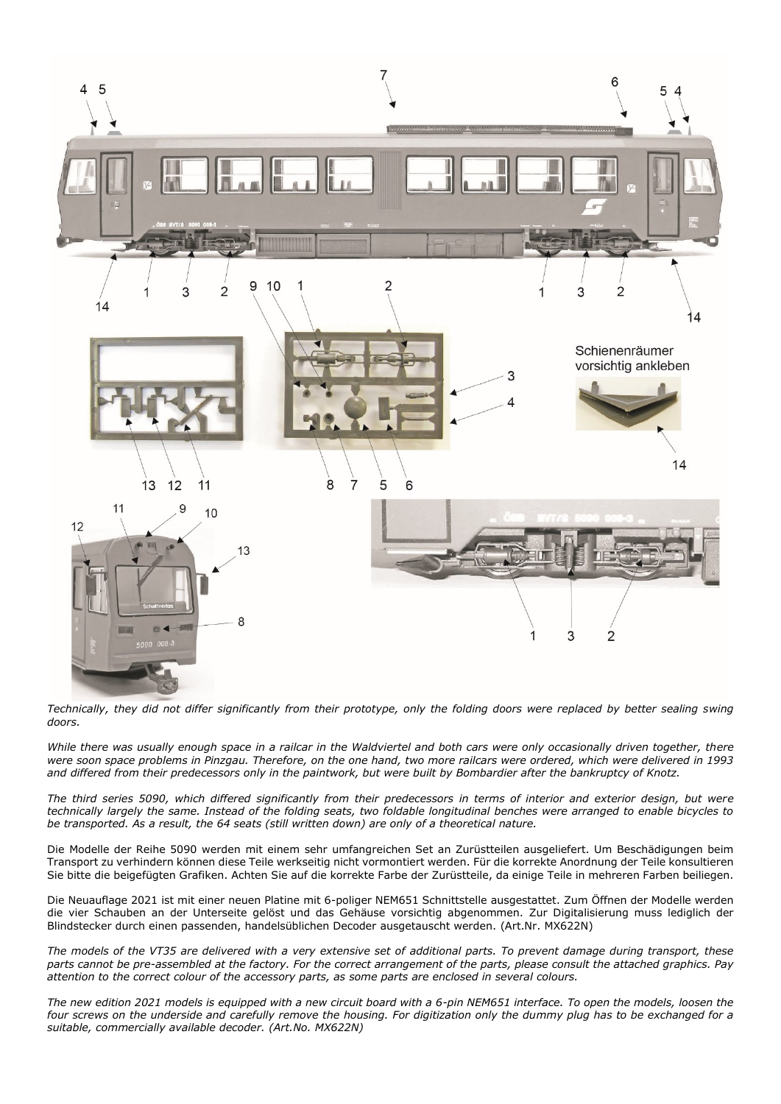

*Technically, they did not differ significantly from their prototype, only the folding doors were replaced by better sealing swing doors.*

*While there was usually enough space in a railcar in the Waldviertel and both cars were only occasionally driven together, there were soon space problems in Pinzgau. Therefore, on the one hand, two more railcars were ordered, which were delivered in 1993 and differed from their predecessors only in the paintwork, but were built by Bombardier after the bankruptcy of Knotz.*

*The third series 5090, which differed significantly from their predecessors in terms of interior and exterior design, but were technically largely the same. Instead of the folding seats, two foldable longitudinal benches were arranged to enable bicycles to be transported. As a result, the 64 seats (still written down) are only of a theoretical nature.*

Die Modelle der Reihe 5090 werden mit einem sehr umfangreichen Set an Zurüstteilen ausgeliefert. Um Beschädigungen beim Transport zu verhindern können diese Teile werkseitig nicht vormontiert werden. Für die korrekte Anordnung der Teile konsultieren Sie bitte die beigefügten Grafiken. Achten Sie auf die korrekte Farbe der Zurüstteile, da einige Teile in mehreren Farben beiliegen.

Die Neuauflage 2021 ist mit einer neuen Platine mit 6-poliger NEM651 Schnittstelle ausgestattet. Zum Öffnen der Modelle werden die vier Schauben an der Unterseite gelöst und das Gehäuse vorsichtig abgenommen. Zur Digitalisierung muss lediglich der Blindstecker durch einen passenden, handelsüblichen Decoder ausgetauscht werden. (Art.Nr. MX622N)

*The models of the VT35 are delivered with a very extensive set of additional parts. To prevent damage during transport, these parts cannot be pre-assembled at the factory. For the correct arrangement of the parts, please consult the attached graphics. Pay attention to the correct colour of the accessory parts, as some parts are enclosed in several colours.*

*The new edition 2021 models is equipped with a new circuit board with a 6-pin NEM651 interface. To open the models, loosen the*  four screws on the underside and carefully remove the housing. For digitization only the dummy plug has to be exchanged for a *suitable, commercially available decoder. (Art.No. MX622N)*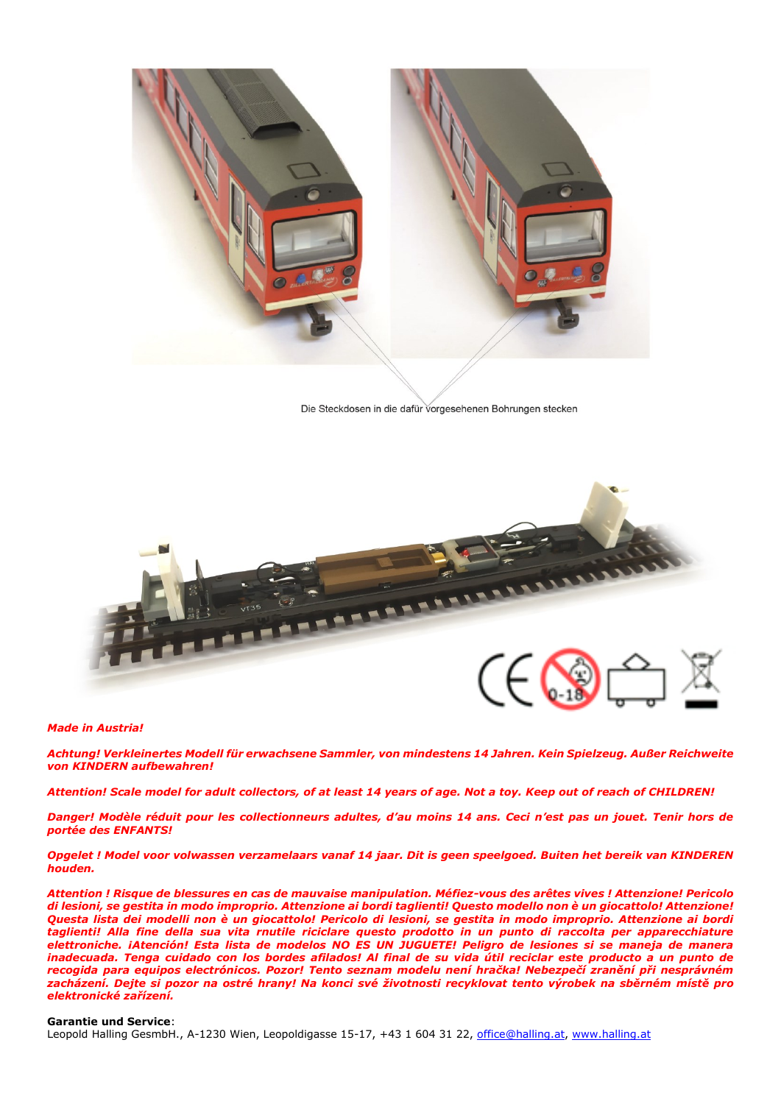

Die Steckdosen in die dafür vorgesehenen Bohrungen stecken



## *Made in Austria!*

*Achtung! Verkleinertes Modell für erwachsene Sammler, von mindestens 14 Jahren. Kein Spielzeug. Außer Reichweite von KINDERN aufbewahren!* 

*Attention! Scale model for adult collectors, of at least 14 years of age. Not a toy. Keep out of reach of CHILDREN!*

*Danger! Modèle réduit pour les collectionneurs adultes, d'au moins 14 ans. Ceci n'est pas un jouet. Tenir hors de portée des ENFANTS!*

*Opgelet ! Model voor volwassen verzamelaars vanaf 14 jaar. Dit is geen speelgoed. Buiten het bereik van KINDEREN houden.*

*Attention ! Risque de blessures en cas de mauvaise manipulation. Méfiez-vous des arêtes vives ! Attenzione! Pericolo di lesioni, se gestita in modo improprio. Attenzione ai bordi taglienti! Questo modello non è un giocattolo! Attenzione! Questa lista dei modelli non è un giocattolo! Pericolo di lesioni, se gestita in modo improprio. Attenzione ai bordi taglienti! Alla fine della sua vita rnutile riciclare questo prodotto in un punto di raccolta per apparecchiature elettroniche. ¡Atención! Esta lista de modelos NO ES UN JUGUETE! Peligro de lesiones si se maneja de manera inadecuada. Tenga cuidado con los bordes afilados! Al final de su vida útil reciclar este producto a un punto de recogida para equipos electrónicos. Pozor! Tento seznam modelu není hračka! Nebezpečí zranění při nesprávném zacházení. Dejte si pozor na ostré hrany! Na konci své životnosti recyklovat tento výrobek na sběrném místě pro elektronické zařízení.*

## **Garantie und Service**:

Leopold Halling GesmbH., A-1230 Wien, Leopoldigasse 15-17, +43 1 604 31 22, [office@halling.at,](mailto:office@halling.at) [www.halling.at](http://www.halling.at/)